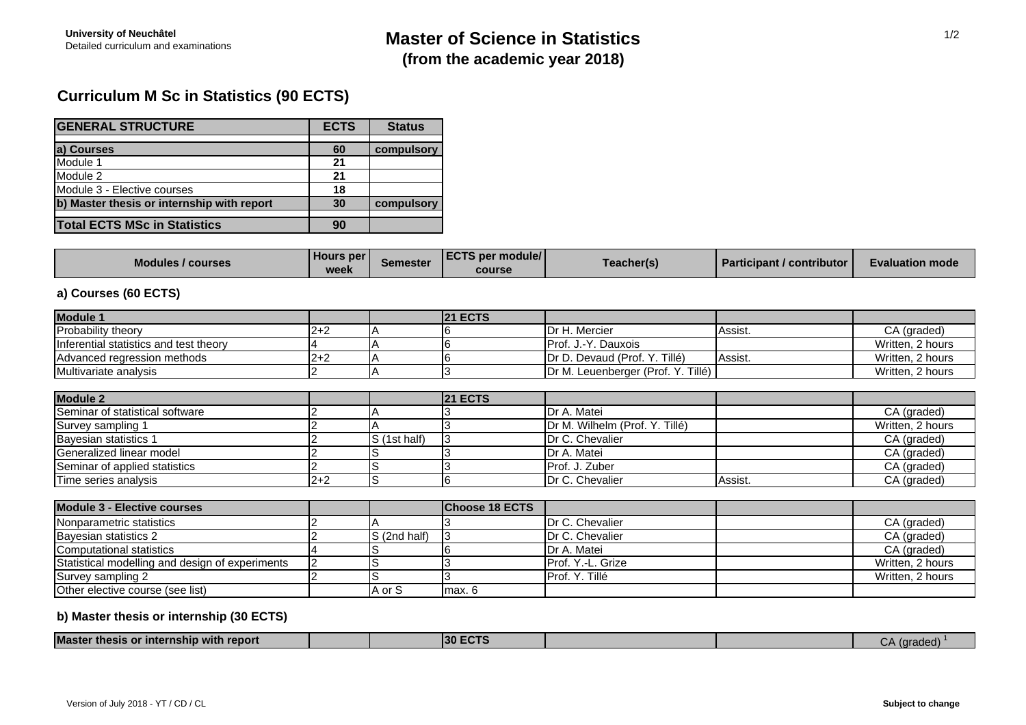## **Curriculum M Sc in Statistics (90 ECTS)**

| <b>GENERAL STRUCTURE</b>                   | <b>ECTS</b> | <b>Status</b> |
|--------------------------------------------|-------------|---------------|
|                                            |             |               |
| a) Courses                                 | 60          | compulsory    |
| Module 1                                   | 21          |               |
| Module 2                                   | 21          |               |
| Module 3 - Elective courses                | 18          |               |
| b) Master thesis or internship with report | 30          | compulsory    |
|                                            |             |               |
| <b>Total ECTS MSc in Statistics</b>        | 90          |               |

| <b>Modules / courses</b> | <b>Hours per</b><br><b>WAAK</b><br>ハマロ | Semester | <b>ECTS per module/</b><br>course | <b>「eacher(</b> s) | <b>Participant / contributor  </b> | <b>Evaluation mode</b> |
|--------------------------|----------------------------------------|----------|-----------------------------------|--------------------|------------------------------------|------------------------|
|--------------------------|----------------------------------------|----------|-----------------------------------|--------------------|------------------------------------|------------------------|

### **a) Courses (60 ECTS)**

| Module 1                                        |         |              | <b>21 ECTS</b>        |                                    |         |                  |
|-------------------------------------------------|---------|--------------|-----------------------|------------------------------------|---------|------------------|
| Probability theory                              | $2+2$   |              |                       | Dr H. Mercier                      | Assist. | CA (graded)      |
| Inferential statistics and test theory          |         |              |                       | Prof. J.-Y. Dauxois                |         | Written, 2 hours |
| Advanced regression methods                     | $2 + 2$ |              |                       | Dr D. Devaud (Prof. Y. Tillé)      | Assist. | Written, 2 hours |
| Multivariate analysis                           |         |              | 3                     | Dr M. Leuenberger (Prof. Y. Tillé) |         | Written, 2 hours |
| <b>Module 2</b>                                 |         |              | <b>21 ECTS</b>        |                                    |         |                  |
| Seminar of statistical software                 |         |              |                       | Dr A. Matei                        |         | CA (graded)      |
| Survey sampling 1                               |         |              |                       | Dr M. Wilhelm (Prof. Y. Tillé)     |         | Written, 2 hours |
| Bayesian statistics 1                           |         | S (1st half) | 3                     | Dr C. Chevalier                    |         | CA (graded)      |
| Generalized linear model                        |         |              |                       | Dr A. Matei                        |         | CA (graded)      |
| Seminar of applied statistics                   |         | S            |                       | Prof. J. Zuber                     |         | CA (graded)      |
| Time series analysis                            | $2+2$   | S            | n                     | Dr C. Chevalier                    | Assist. | CA (graded)      |
| <b>Module 3 - Elective courses</b>              |         |              | <b>Choose 18 ECTS</b> |                                    |         |                  |
| Nonparametric statistics                        |         |              |                       | Dr C. Chevalier                    |         | CA (graded)      |
| Bayesian statistics 2                           |         | S (2nd half) |                       | Dr C. Chevalier                    |         | CA (graded)      |
| Computational statistics                        |         |              |                       | Dr A. Matei                        |         | CA (graded)      |
| Statistical modelling and design of experiments |         |              |                       | Prof. Y.-L. Grize                  |         | Written, 2 hours |
| Survey sampling 2                               |         | S            | 3                     | Prof. Y. Tillé                     |         | Written, 2 hours |
| Other elective course (see list)                |         | A or S       | max. 6                |                                    |         |                  |

### **b) Master thesis or internship (30 ECTS)**

| <b>Master</b><br>.<br>report<br>$\cdot$ thesis or internship $\mathbf{v}^*$<br>⊿ıtn ∕ |  | . חפי<br>ы |  | $\sim$<br>шана |  |
|---------------------------------------------------------------------------------------|--|------------|--|----------------|--|